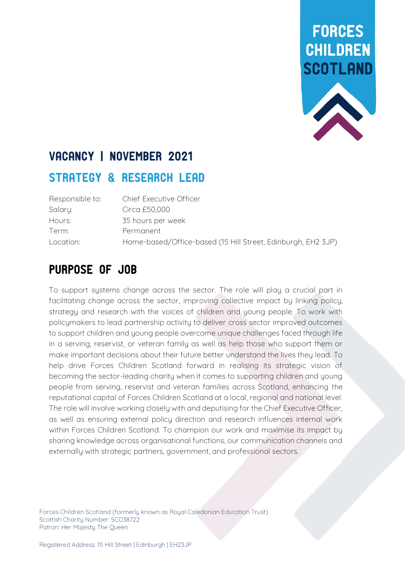

## VACANCY | NOVEMBER 2021

### STRATEGY & RESEARCH LEAD

| Responsible to: | Chief Executive Officer                                      |
|-----------------|--------------------------------------------------------------|
| Salary:         | Circa £50,000                                                |
| Hours:          | 35 hours per week                                            |
| Term:           | Permanent                                                    |
| Location:       | Home-based/Office-based (15 Hill Street, Edinburgh, EH2 3JP) |

### Purpose of Job

To support systems change across the sector. The role will play a crucial part in facilitating change across the sector, improving collective impact by linking policy, strategy and research with the voices of children and young people. To work with policymakers to lead partnership activity to deliver cross sector improved outcomes to support children and young people overcome unique challenges faced through life in a serving, reservist, or veteran family as well as help those who support them or make important decisions about their future better understand the lives they lead. To help drive Forces Children Scotland forward in realising its strategic vision of becoming the sector-leading charity when it comes to supporting children and young people from serving, reservist and veteran families across Scotland, enhancing the reputational capital of Forces Children Scotland at a local, regional and national level. The role will involve working closely with and deputising for the Chief Executive Officer, as well as ensuring external policy direction and research influences internal work within Forces Children Scotland. To champion our work and maximise its impact by sharing knowledge across organisational functions, our communication channels and externally with strategic partners, government, and professional sectors.

Forces Children Scotland (formerly known as Royal Caledonian Education Trust) Scottish Charitu Number: SCO38722 Patron: Her Majesty The Queen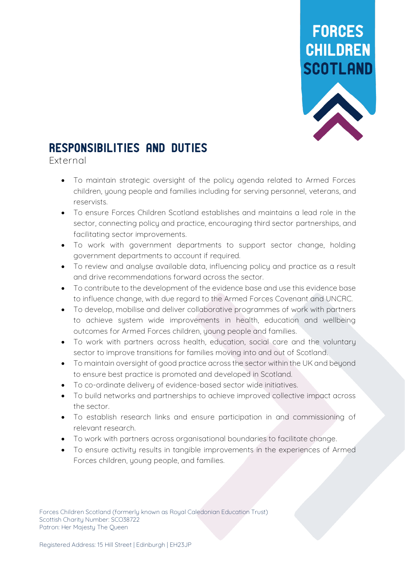

## Responsibilities and Duties

**External**

- To maintain strategic oversight of the policy agenda related to Armed Forces children, young people and families including for serving personnel, veterans, and reservists.
- To ensure Forces Children Scotland establishes and maintains a lead role in the sector, connecting policy and practice, encouraging third sector partnerships, and facilitating sector improvements.
- To work with government departments to support sector change, holding government departments to account if required.
- To review and analyse available data, influencing policy and practice as a result and drive recommendations forward across the sector.
- To contribute to the development of the evidence base and use this evidence base to influence change, with due regard to the Armed Forces Covenant and UNCRC.
- To develop, mobilise and deliver collaborative programmes of work with partners to achieve system wide improvements in health, education and wellbeing outcomes for Armed Forces children, young people and families.
- To work with partners across health, education, social care and the voluntary sector to improve transitions for families moving into and out of Scotland.
- To maintain oversight of good practice across the sector within the UK and beyond to ensure best practice is promoted and developed in Scotland.
- To co-ordinate delivery of evidence-based sector wide initiatives.
- To build networks and partnerships to achieve improved collective impact across the sector.
- To establish research links and ensure participation in and commissioning of relevant research.
- To work with partners across organisational boundaries to facilitate change.
- To ensure activity results in tangible improvements in the experiences of Armed Forces children, young people, and families.

Forces Children Scotland (formerly known as Royal Caledonian Education Trust) Scottish Charitu Number: SCO38722 Patron: Her Majesty The Queen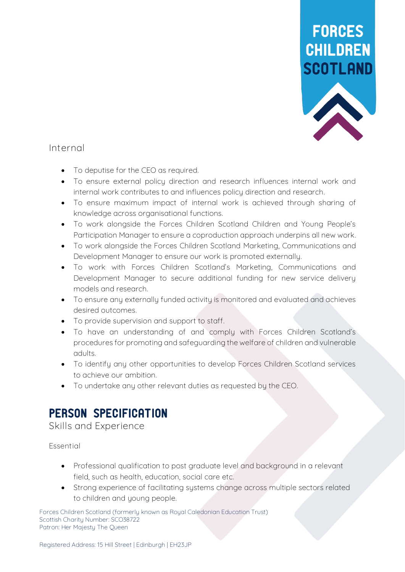

#### **Internal**

- To deputise for the CEO as required.
- To ensure external policy direction and research influences internal work and internal work contributes to and influences policy direction and research.
- To ensure maximum impact of internal work is achieved through sharing of knowledge across organisational functions.
- To work alongside the Forces Children Scotland Children and Young People's Participation Manager to ensure a coproduction approach underpins all new work.
- To work alongside the Forces Children Scotland Marketing, Communications and Development Manager to ensure our work is promoted externally.
- To work with Forces Children Scotland's Marketing, Communications and Development Manager to secure additional funding for new service delivery models and research.
- To ensure any externally funded activity is monitored and evaluated and achieves desired outcomes.
- To provide supervision and support to staff.
- To have an understanding of and comply with Forces Children Scotland's procedures for promoting and safeguarding the welfare of children and vulnerable adults.
- To identify any other opportunities to develop Forces Children Scotland services to achieve our ambition.
- To undertake any other relevant duties as requested by the CEO.

## PERSON SPECIFICATION

**Skills and Experience**

**Essential** 

- Professional qualification to post graduate level and background in a relevant field, such as health, education, social care etc.
- Strong experience of facilitating sustems change across multiple sectors related to children and young people.

Forces Children Scotland (formerly known as Royal Caledonian Education Trust) Scottish Charity Number: SCO38722 Patron: Her Majesty The Queen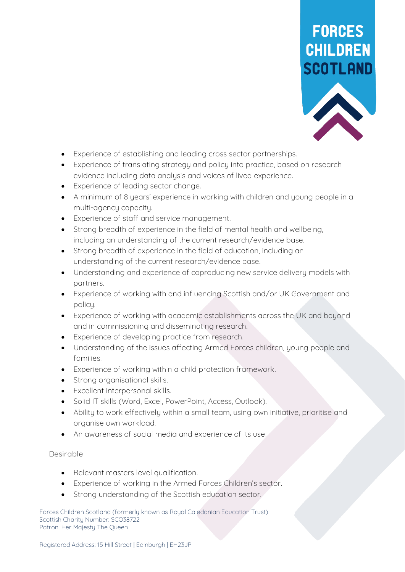

- Experience of establishing and leading cross sector partnerships.
- Experience of translating strategy and policy into practice, based on research evidence including data analysis and voices of lived experience.
- Experience of leading sector change.
- A minimum of 8 years' experience in working with children and young people in a multi-agency capacity.
- Experience of staff and service management.
- Strong breadth of experience in the field of mental health and wellbeing, including an understanding of the current research/evidence base.
- Strong breadth of experience in the field of education, including an understanding of the current research/evidence base.
- Understanding and experience of coproducing new service delivery models with partners.
- Experience of working with and influencing Scottish and/or UK Government and policu.
- Experience of working with academic establishments across the UK and beyond and in commissioning and disseminating research.
- Experience of developing practice from research.
- Understanding of the issues affecting Armed Forces children, young people and families.
- Experience of working within a child protection framework.
- Strong organisational skills.
- Excellent interpersonal skills.
- Solid IT skills (Word, Excel, PowerPoint, Access, Outlook).
- Ability to work effectively within a small team, using own initiative, prioritise and organise own workload.
- An awareness of social media and experience of its use.

#### **Desirable**

- Relevant masters level qualification.
- Experience of working in the Armed Forces Children's sector.
- Strong understanding of the Scottish education sector.

Forces Children Scotland (formerly known as Royal Caledonian Education Trust) Scottish Charity Number: SCO38722 Patron: Her Majesty The Queen